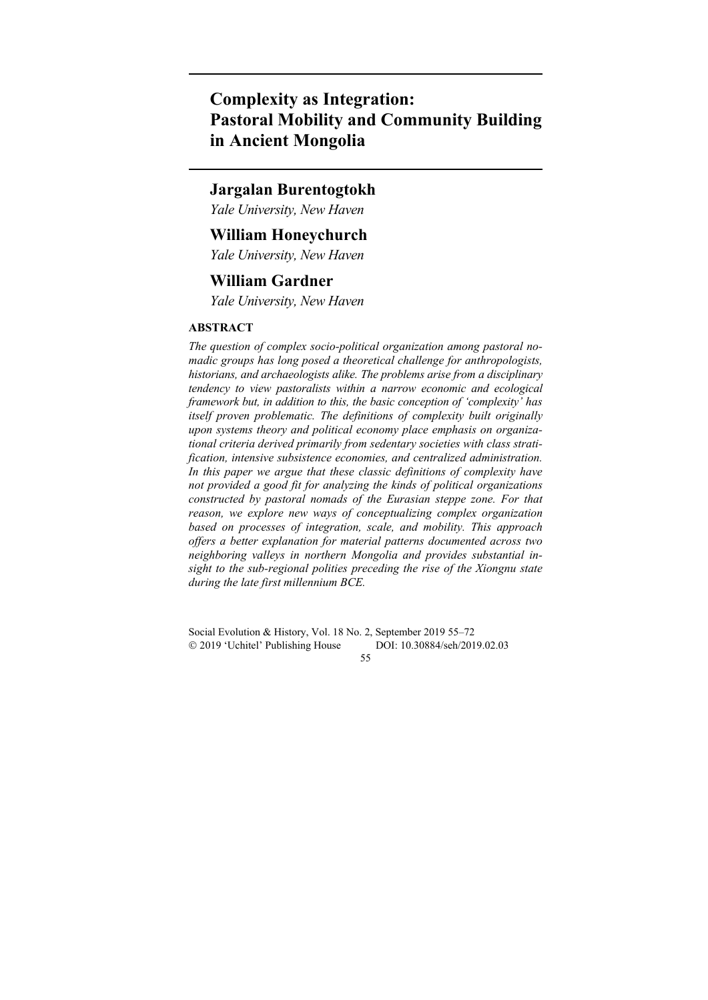# **Complexity as Integration: Pastoral Mobility and Community Building in Ancient Mongolia**

# **Jargalan Burentogtokh**

*Yale University, New Haven* 

# **William Honeychurch**

*Yale University, New Haven* 

# **William Gardner**

*Yale University, New Haven* 

# **ABSTRACT**

*The question of complex socio-political organization among pastoral nomadic groups has long posed a theoretical challenge for anthropologists, historians, and archaeologists alike. The problems arise from a disciplinary tendency to view pastoralists within a narrow economic and ecological framework but, in addition to this, the basic conception of 'complexity' has itself proven problematic. The definitions of complexity built originally upon systems theory and political economy place emphasis on organizational criteria derived primarily from sedentary societies with class stratification, intensive subsistence economies, and centralized administration. In this paper we argue that these classic definitions of complexity have not provided a good fit for analyzing the kinds of political organizations constructed by pastoral nomads of the Eurasian steppe zone. For that reason, we explore new ways of conceptualizing complex organization based on processes of integration, scale, and mobility. This approach offers a better explanation for material patterns documented across two neighboring valleys in northern Mongolia and provides substantial insight to the sub-regional polities preceding the rise of the Xiongnu state during the late first millennium BCE.* 

Social Evolution & History, Vol. 18 No. 2, September 2019 55–72 2019 'Uchitel' Publishing House DOI: 10.30884/seh/2019.02.03

55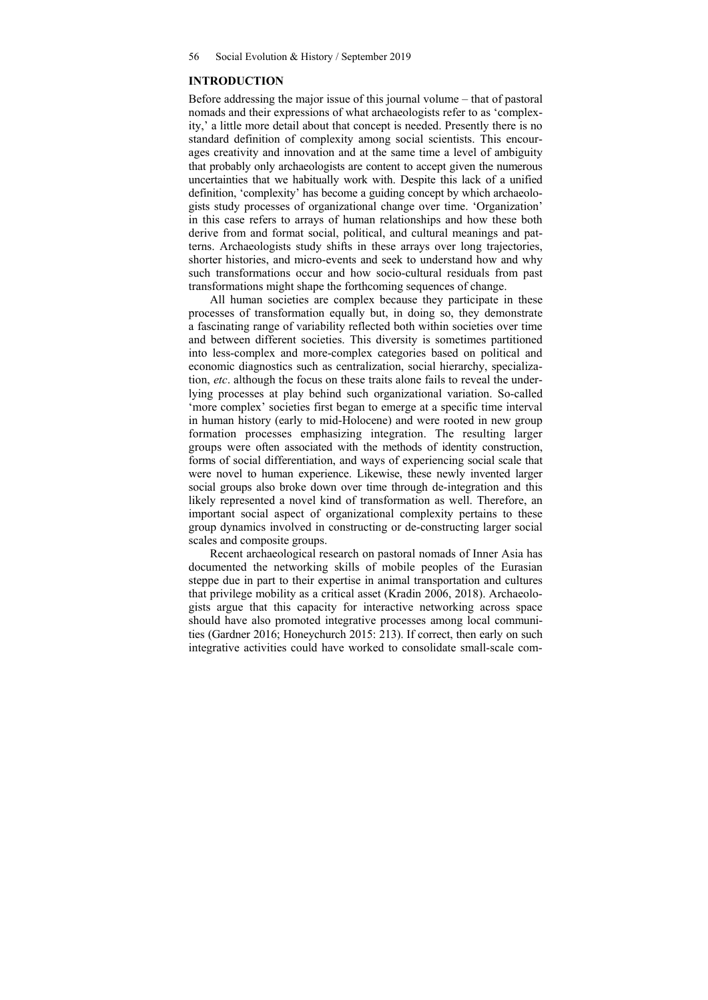#### **INTRODUCTION**

Before addressing the major issue of this journal volume – that of pastoral nomads and their expressions of what archaeologists refer to as 'complexity,' a little more detail about that concept is needed. Presently there is no standard definition of complexity among social scientists. This encourages creativity and innovation and at the same time a level of ambiguity that probably only archaeologists are content to accept given the numerous uncertainties that we habitually work with. Despite this lack of a unified definition, 'complexity' has become a guiding concept by which archaeologists study processes of organizational change over time. 'Organization' in this case refers to arrays of human relationships and how these both derive from and format social, political, and cultural meanings and patterns. Archaeologists study shifts in these arrays over long trajectories, shorter histories, and micro-events and seek to understand how and why such transformations occur and how socio-cultural residuals from past transformations might shape the forthcoming sequences of change.

All human societies are complex because they participate in these processes of transformation equally but, in doing so, they demonstrate a fascinating range of variability reflected both within societies over time and between different societies. This diversity is sometimes partitioned into less-complex and more-complex categories based on political and economic diagnostics such as centralization, social hierarchy, specialization, *etc*. although the focus on these traits alone fails to reveal the underlying processes at play behind such organizational variation. So-called 'more complex' societies first began to emerge at a specific time interval in human history (early to mid-Holocene) and were rooted in new group formation processes emphasizing integration. The resulting larger groups were often associated with the methods of identity construction, forms of social differentiation, and ways of experiencing social scale that were novel to human experience. Likewise, these newly invented larger social groups also broke down over time through de-integration and this likely represented a novel kind of transformation as well. Therefore, an important social aspect of organizational complexity pertains to these group dynamics involved in constructing or de-constructing larger social scales and composite groups.

Recent archaeological research on pastoral nomads of Inner Asia has documented the networking skills of mobile peoples of the Eurasian steppe due in part to their expertise in animal transportation and cultures that privilege mobility as a critical asset (Kradin 2006, 2018). Archaeologists argue that this capacity for interactive networking across space should have also promoted integrative processes among local communities (Gardner 2016; Honeychurch 2015: 213). If correct, then early on such integrative activities could have worked to consolidate small-scale com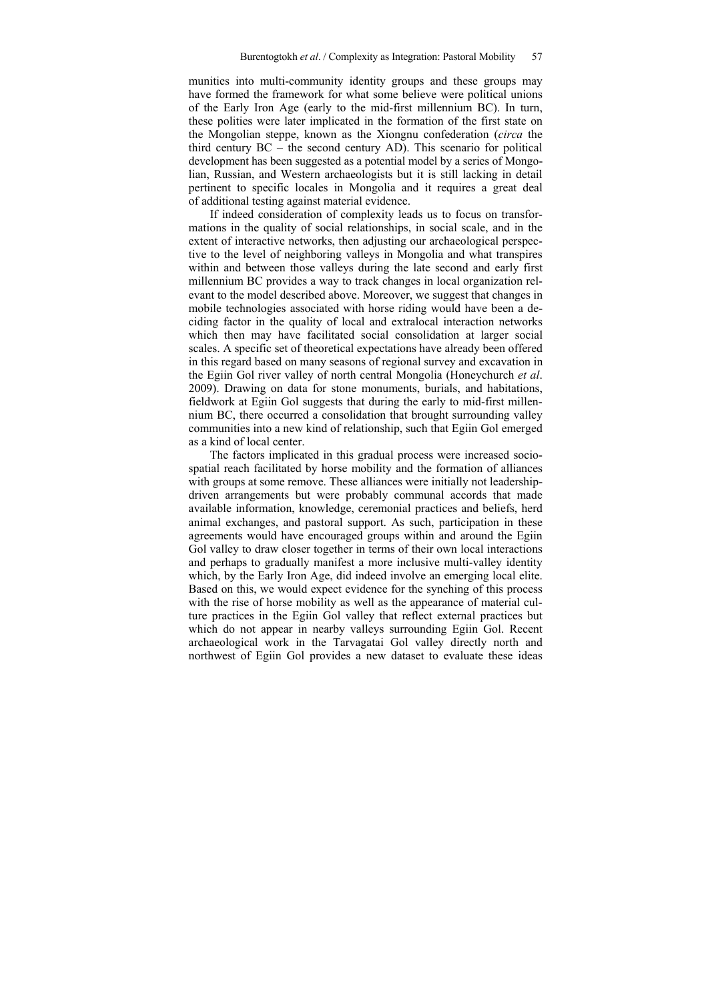munities into multi-community identity groups and these groups may have formed the framework for what some believe were political unions of the Early Iron Age (early to the mid-first millennium BC). In turn, these polities were later implicated in the formation of the first state on the Mongolian steppe, known as the Xiongnu confederation (*circa* the third century BC – the second century AD). This scenario for political development has been suggested as a potential model by a series of Mongolian, Russian, and Western archaeologists but it is still lacking in detail pertinent to specific locales in Mongolia and it requires a great deal of additional testing against material evidence.

If indeed consideration of complexity leads us to focus on transformations in the quality of social relationships, in social scale, and in the extent of interactive networks, then adjusting our archaeological perspective to the level of neighboring valleys in Mongolia and what transpires within and between those valleys during the late second and early first millennium BC provides a way to track changes in local organization relevant to the model described above. Moreover, we suggest that changes in mobile technologies associated with horse riding would have been a deciding factor in the quality of local and extralocal interaction networks which then may have facilitated social consolidation at larger social scales. A specific set of theoretical expectations have already been offered in this regard based on many seasons of regional survey and excavation in the Egiin Gol river valley of north central Mongolia (Honeychurch *et al*. 2009). Drawing on data for stone monuments, burials, and habitations, fieldwork at Egiin Gol suggests that during the early to mid-first millennium BC, there occurred a consolidation that brought surrounding valley communities into a new kind of relationship, such that Egiin Gol emerged as a kind of local center.

The factors implicated in this gradual process were increased sociospatial reach facilitated by horse mobility and the formation of alliances with groups at some remove. These alliances were initially not leadershipdriven arrangements but were probably communal accords that made available information, knowledge, ceremonial practices and beliefs, herd animal exchanges, and pastoral support. As such, participation in these agreements would have encouraged groups within and around the Egiin Gol valley to draw closer together in terms of their own local interactions and perhaps to gradually manifest a more inclusive multi-valley identity which, by the Early Iron Age, did indeed involve an emerging local elite. Based on this, we would expect evidence for the synching of this process with the rise of horse mobility as well as the appearance of material culture practices in the Egiin Gol valley that reflect external practices but which do not appear in nearby valleys surrounding Egiin Gol. Recent archaeological work in the Tarvagatai Gol valley directly north and northwest of Egiin Gol provides a new dataset to evaluate these ideas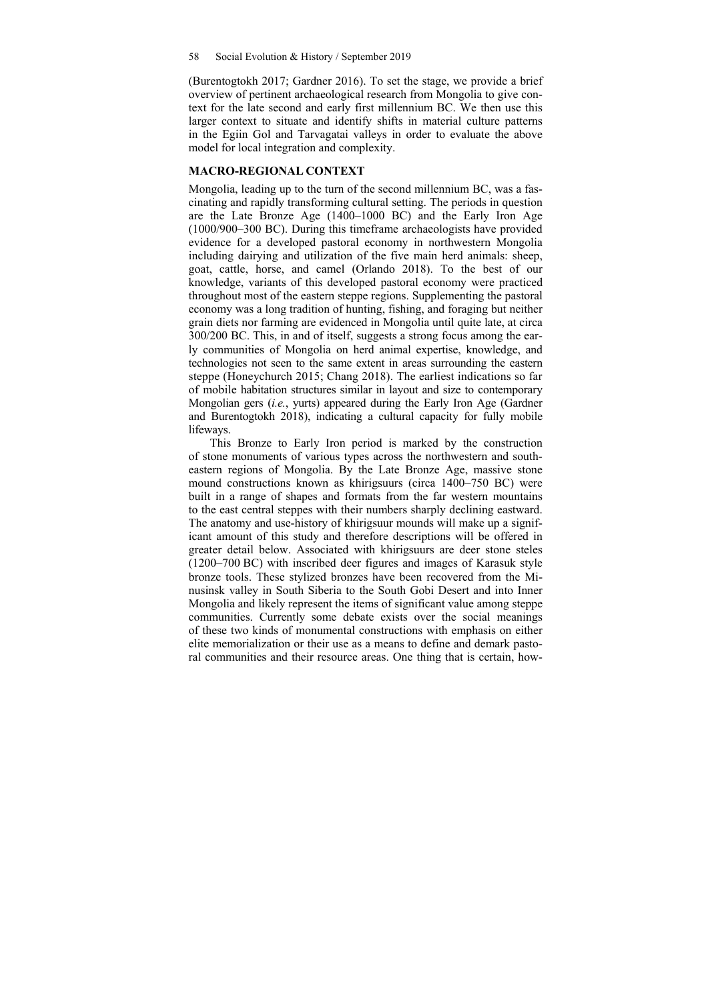(Burentogtokh 2017; Gardner 2016). To set the stage, we provide a brief overview of pertinent archaeological research from Mongolia to give context for the late second and early first millennium BC. We then use this larger context to situate and identify shifts in material culture patterns in the Egiin Gol and Tarvagatai valleys in order to evaluate the above model for local integration and complexity.

#### **MACRO-REGIONAL CONTEXT**

Mongolia, leading up to the turn of the second millennium BC, was a fascinating and rapidly transforming cultural setting. The periods in question are the Late Bronze Age (1400–1000 BC) and the Early Iron Age (1000/900–300 BC). During this timeframe archaeologists have provided evidence for a developed pastoral economy in northwestern Mongolia including dairying and utilization of the five main herd animals: sheep, goat, cattle, horse, and camel (Orlando 2018). To the best of our knowledge, variants of this developed pastoral economy were practiced throughout most of the eastern steppe regions. Supplementing the pastoral economy was a long tradition of hunting, fishing, and foraging but neither grain diets nor farming are evidenced in Mongolia until quite late, at circa 300/200 BC. This, in and of itself, suggests a strong focus among the early communities of Mongolia on herd animal expertise, knowledge, and technologies not seen to the same extent in areas surrounding the eastern steppe (Honeychurch 2015; Chang 2018). The earliest indications so far of mobile habitation structures similar in layout and size to contemporary Mongolian gers (*i.e.*, yurts) appeared during the Early Iron Age (Gardner and Burentogtokh 2018), indicating a cultural capacity for fully mobile lifeways.

This Bronze to Early Iron period is marked by the construction of stone monuments of various types across the northwestern and southeastern regions of Mongolia. By the Late Bronze Age, massive stone mound constructions known as khirigsuurs (circa 1400–750 BC) were built in a range of shapes and formats from the far western mountains to the east central steppes with their numbers sharply declining eastward. The anatomy and use-history of khirigsuur mounds will make up a significant amount of this study and therefore descriptions will be offered in greater detail below. Associated with khirigsuurs are deer stone steles (1200–700 BC) with inscribed deer figures and images of Karasuk style bronze tools. These stylized bronzes have been recovered from the Minusinsk valley in South Siberia to the South Gobi Desert and into Inner Mongolia and likely represent the items of significant value among steppe communities. Currently some debate exists over the social meanings of these two kinds of monumental constructions with emphasis on either elite memorialization or their use as a means to define and demark pastoral communities and their resource areas. One thing that is certain, how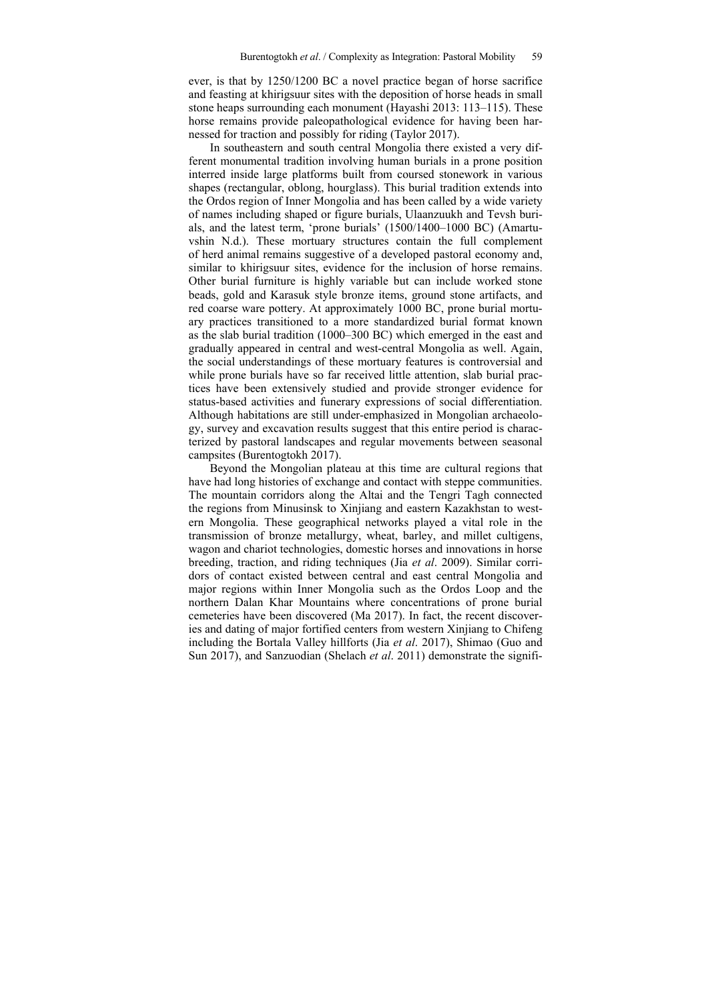ever, is that by 1250/1200 BC a novel practice began of horse sacrifice and feasting at khirigsuur sites with the deposition of horse heads in small stone heaps surrounding each monument (Hayashi 2013: 113–115). These horse remains provide paleopathological evidence for having been harnessed for traction and possibly for riding (Taylor 2017).

In southeastern and south central Mongolia there existed a very different monumental tradition involving human burials in a prone position interred inside large platforms built from coursed stonework in various shapes (rectangular, oblong, hourglass). This burial tradition extends into the Ordos region of Inner Mongolia and has been called by a wide variety of names including shaped or figure burials, Ulaanzuukh and Tevsh burials, and the latest term, 'prone burials' (1500/1400–1000 BC) (Amartuvshin N.d.). These mortuary structures contain the full complement of herd animal remains suggestive of a developed pastoral economy and, similar to khirigsuur sites, evidence for the inclusion of horse remains. Other burial furniture is highly variable but can include worked stone beads, gold and Karasuk style bronze items, ground stone artifacts, and red coarse ware pottery. At approximately 1000 BC, prone burial mortuary practices transitioned to a more standardized burial format known as the slab burial tradition (1000–300 BC) which emerged in the east and gradually appeared in central and west-central Mongolia as well. Again, the social understandings of these mortuary features is controversial and while prone burials have so far received little attention, slab burial practices have been extensively studied and provide stronger evidence for status-based activities and funerary expressions of social differentiation. Although habitations are still under-emphasized in Mongolian archaeology, survey and excavation results suggest that this entire period is characterized by pastoral landscapes and regular movements between seasonal campsites (Burentogtokh 2017).

Beyond the Mongolian plateau at this time are cultural regions that have had long histories of exchange and contact with steppe communities. The mountain corridors along the Altai and the Tengri Tagh connected the regions from Minusinsk to Xinjiang and eastern Kazakhstan to western Mongolia. These geographical networks played a vital role in the transmission of bronze metallurgy, wheat, barley, and millet cultigens, wagon and chariot technologies, domestic horses and innovations in horse breeding, traction, and riding techniques (Jia *et al*. 2009). Similar corridors of contact existed between central and east central Mongolia and major regions within Inner Mongolia such as the Ordos Loop and the northern Dalan Khar Mountains where concentrations of prone burial cemeteries have been discovered (Ma 2017). In fact, the recent discoveries and dating of major fortified centers from western Xinjiang to Chifeng including the Bortala Valley hillforts (Jia *et al*. 2017), Shimao (Guo and Sun 2017), and Sanzuodian (Shelach *et al*. 2011) demonstrate the signifi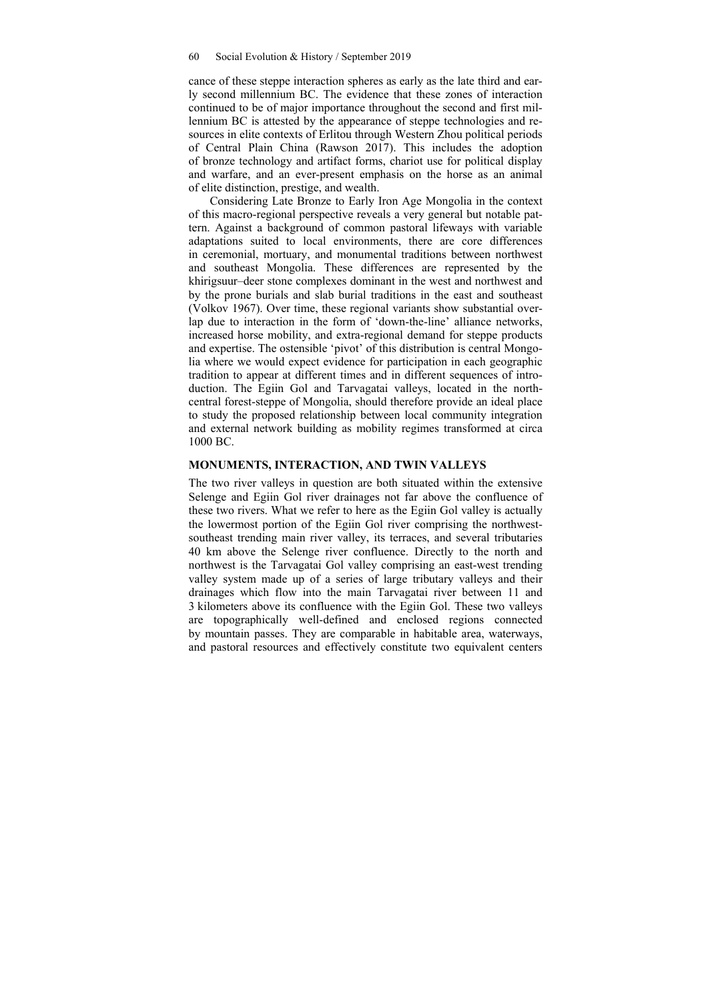cance of these steppe interaction spheres as early as the late third and early second millennium BC. The evidence that these zones of interaction continued to be of major importance throughout the second and first millennium BC is attested by the appearance of steppe technologies and resources in elite contexts of Erlitou through Western Zhou political periods of Central Plain China (Rawson 2017). This includes the adoption of bronze technology and artifact forms, chariot use for political display and warfare, and an ever-present emphasis on the horse as an animal of elite distinction, prestige, and wealth.

Considering Late Bronze to Early Iron Age Mongolia in the context of this macro-regional perspective reveals a very general but notable pattern. Against a background of common pastoral lifeways with variable adaptations suited to local environments, there are core differences in ceremonial, mortuary, and monumental traditions between northwest and southeast Mongolia. These differences are represented by the khirigsuur–deer stone complexes dominant in the west and northwest and by the prone burials and slab burial traditions in the east and southeast (Volkov 1967). Over time, these regional variants show substantial overlap due to interaction in the form of 'down-the-line' alliance networks, increased horse mobility, and extra-regional demand for steppe products and expertise. The ostensible 'pivot' of this distribution is central Mongolia where we would expect evidence for participation in each geographic tradition to appear at different times and in different sequences of introduction. The Egiin Gol and Tarvagatai valleys, located in the northcentral forest-steppe of Mongolia, should therefore provide an ideal place to study the proposed relationship between local community integration and external network building as mobility regimes transformed at circa 1000 BC.

#### **MONUMENTS, INTERACTION, AND TWIN VALLEYS**

The two river valleys in question are both situated within the extensive Selenge and Egiin Gol river drainages not far above the confluence of these two rivers. What we refer to here as the Egiin Gol valley is actually the lowermost portion of the Egiin Gol river comprising the northwestsoutheast trending main river valley, its terraces, and several tributaries 40 km above the Selenge river confluence. Directly to the north and northwest is the Tarvagatai Gol valley comprising an east-west trending valley system made up of a series of large tributary valleys and their drainages which flow into the main Tarvagatai river between 11 and 3 kilometers above its confluence with the Egiin Gol. These two valleys are topographically well-defined and enclosed regions connected by mountain passes. They are comparable in habitable area, waterways, and pastoral resources and effectively constitute two equivalent centers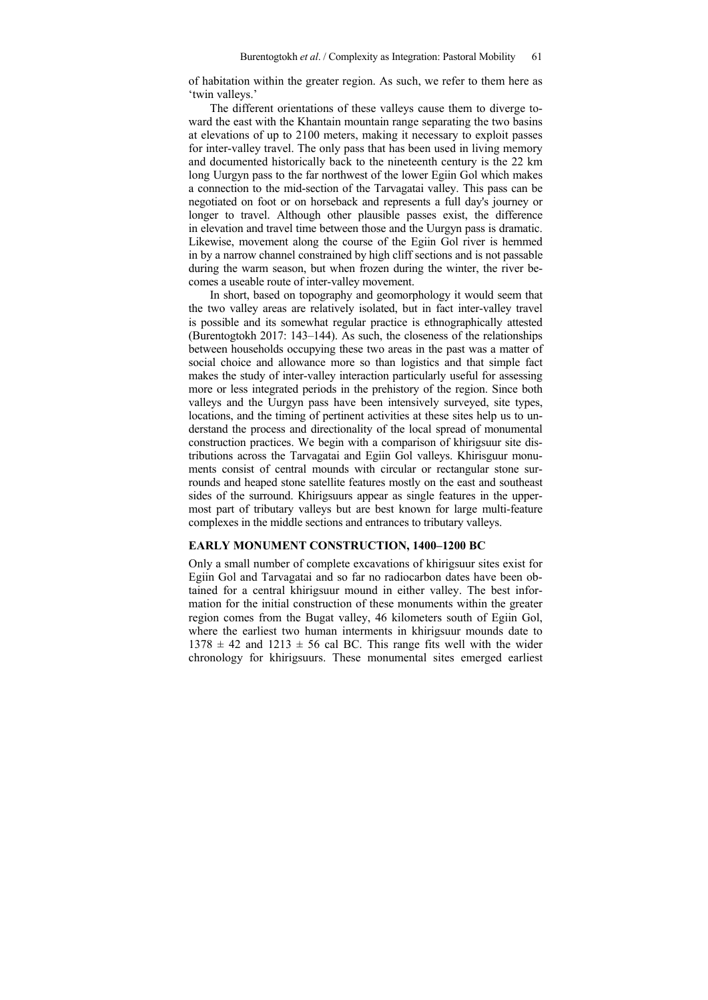of habitation within the greater region. As such, we refer to them here as 'twin valleys.'

The different orientations of these valleys cause them to diverge toward the east with the Khantain mountain range separating the two basins at elevations of up to 2100 meters, making it necessary to exploit passes for inter-valley travel. The only pass that has been used in living memory and documented historically back to the nineteenth century is the 22 km long Uurgyn pass to the far northwest of the lower Egiin Gol which makes a connection to the mid-section of the Tarvagatai valley. This pass can be negotiated on foot or on horseback and represents a full day's journey or longer to travel. Although other plausible passes exist, the difference in elevation and travel time between those and the Uurgyn pass is dramatic. Likewise, movement along the course of the Egiin Gol river is hemmed in by a narrow channel constrained by high cliff sections and is not passable during the warm season, but when frozen during the winter, the river becomes a useable route of inter-valley movement.

In short, based on topography and geomorphology it would seem that the two valley areas are relatively isolated, but in fact inter-valley travel is possible and its somewhat regular practice is ethnographically attested (Burentogtokh 2017: 143–144). As such, the closeness of the relationships between households occupying these two areas in the past was a matter of social choice and allowance more so than logistics and that simple fact makes the study of inter-valley interaction particularly useful for assessing more or less integrated periods in the prehistory of the region. Since both valleys and the Uurgyn pass have been intensively surveyed, site types, locations, and the timing of pertinent activities at these sites help us to understand the process and directionality of the local spread of monumental construction practices. We begin with a comparison of khirigsuur site distributions across the Tarvagatai and Egiin Gol valleys. Khirisguur monuments consist of central mounds with circular or rectangular stone surrounds and heaped stone satellite features mostly on the east and southeast sides of the surround. Khirigsuurs appear as single features in the uppermost part of tributary valleys but are best known for large multi-feature complexes in the middle sections and entrances to tributary valleys.

#### **EARLY MONUMENT CONSTRUCTION, 1400–1200 BC**

Only a small number of complete excavations of khirigsuur sites exist for Egiin Gol and Tarvagatai and so far no radiocarbon dates have been obtained for a central khirigsuur mound in either valley. The best information for the initial construction of these monuments within the greater region comes from the Bugat valley, 46 kilometers south of Egiin Gol, where the earliest two human interments in khirigsuur mounds date to  $1378 \pm 42$  and  $1213 \pm 56$  cal BC. This range fits well with the wider chronology for khirigsuurs. These monumental sites emerged earliest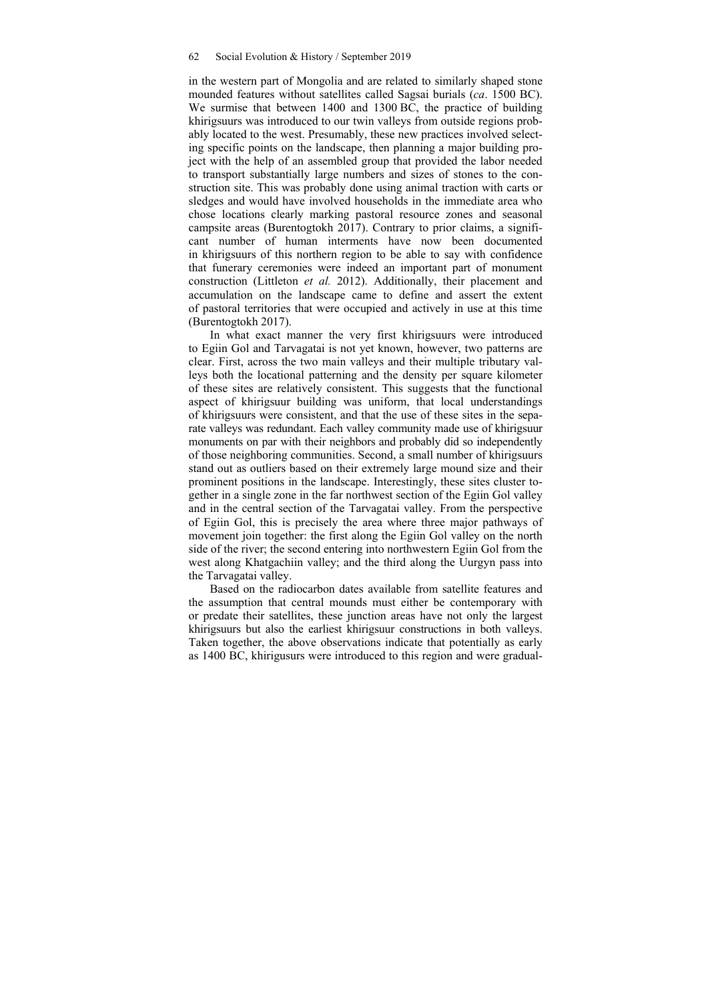in the western part of Mongolia and are related to similarly shaped stone mounded features without satellites called Sagsai burials (*ca*. 1500 BC). We surmise that between 1400 and 1300 BC, the practice of building khirigsuurs was introduced to our twin valleys from outside regions probably located to the west. Presumably, these new practices involved selecting specific points on the landscape, then planning a major building project with the help of an assembled group that provided the labor needed to transport substantially large numbers and sizes of stones to the construction site. This was probably done using animal traction with carts or sledges and would have involved households in the immediate area who chose locations clearly marking pastoral resource zones and seasonal campsite areas (Burentogtokh 2017). Contrary to prior claims, a significant number of human interments have now been documented in khirigsuurs of this northern region to be able to say with confidence that funerary ceremonies were indeed an important part of monument construction (Littleton *et al.* 2012). Additionally, their placement and accumulation on the landscape came to define and assert the extent of pastoral territories that were occupied and actively in use at this time (Burentogtokh 2017).

In what exact manner the very first khirigsuurs were introduced to Egiin Gol and Tarvagatai is not yet known, however, two patterns are clear. First, across the two main valleys and their multiple tributary valleys both the locational patterning and the density per square kilometer of these sites are relatively consistent. This suggests that the functional aspect of khirigsuur building was uniform, that local understandings of khirigsuurs were consistent, and that the use of these sites in the separate valleys was redundant. Each valley community made use of khirigsuur monuments on par with their neighbors and probably did so independently of those neighboring communities. Second, a small number of khirigsuurs stand out as outliers based on their extremely large mound size and their prominent positions in the landscape. Interestingly, these sites cluster together in a single zone in the far northwest section of the Egiin Gol valley and in the central section of the Tarvagatai valley. From the perspective of Egiin Gol, this is precisely the area where three major pathways of movement join together: the first along the Egiin Gol valley on the north side of the river; the second entering into northwestern Egiin Gol from the west along Khatgachiin valley; and the third along the Uurgyn pass into the Tarvagatai valley.

Based on the radiocarbon dates available from satellite features and the assumption that central mounds must either be contemporary with or predate their satellites, these junction areas have not only the largest khirigsuurs but also the earliest khirigsuur constructions in both valleys. Taken together, the above observations indicate that potentially as early as 1400 BC, khirigusurs were introduced to this region and were gradual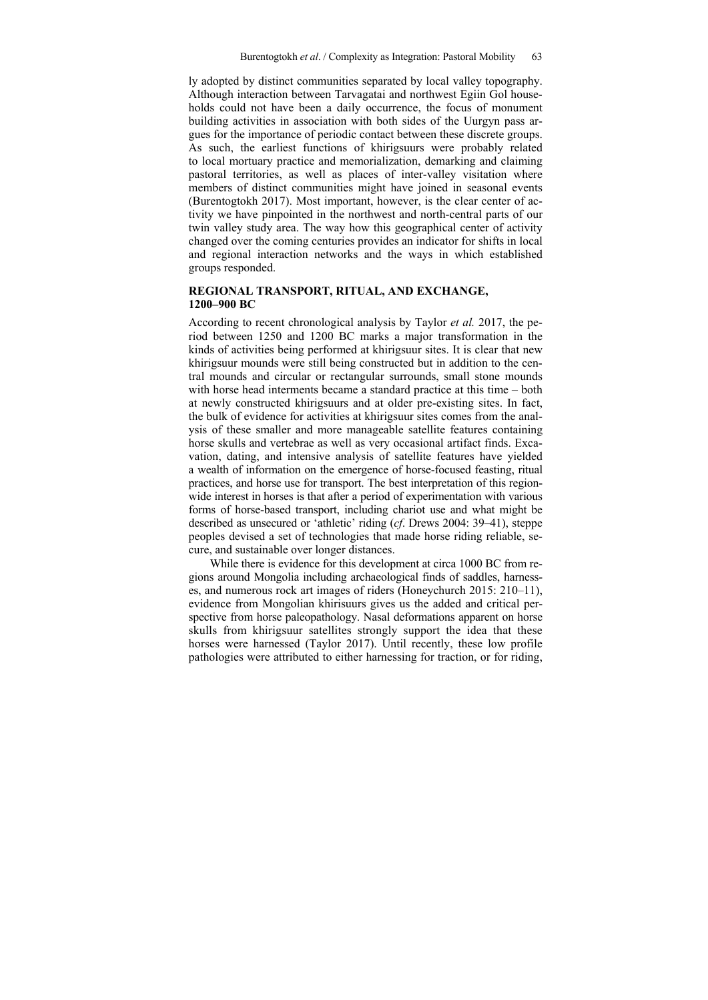ly adopted by distinct communities separated by local valley topography. Although interaction between Tarvagatai and northwest Egiin Gol households could not have been a daily occurrence, the focus of monument building activities in association with both sides of the Uurgyn pass argues for the importance of periodic contact between these discrete groups. As such, the earliest functions of khirigsuurs were probably related to local mortuary practice and memorialization, demarking and claiming pastoral territories, as well as places of inter-valley visitation where members of distinct communities might have joined in seasonal events (Burentogtokh 2017). Most important, however, is the clear center of activity we have pinpointed in the northwest and north-central parts of our twin valley study area. The way how this geographical center of activity changed over the coming centuries provides an indicator for shifts in local and regional interaction networks and the ways in which established groups responded.

### **REGIONAL TRANSPORT, RITUAL, AND EXCHANGE, 1200–900 BC**

According to recent chronological analysis by Taylor *et al.* 2017, the period between 1250 and 1200 BC marks a major transformation in the kinds of activities being performed at khirigsuur sites. It is clear that new khirigsuur mounds were still being constructed but in addition to the central mounds and circular or rectangular surrounds, small stone mounds with horse head interments became a standard practice at this time – both at newly constructed khirigsuurs and at older pre-existing sites. In fact, the bulk of evidence for activities at khirigsuur sites comes from the analysis of these smaller and more manageable satellite features containing horse skulls and vertebrae as well as very occasional artifact finds. Excavation, dating, and intensive analysis of satellite features have yielded a wealth of information on the emergence of horse-focused feasting, ritual practices, and horse use for transport. The best interpretation of this regionwide interest in horses is that after a period of experimentation with various forms of horse-based transport, including chariot use and what might be described as unsecured or 'athletic' riding (*cf*. Drews 2004: 39–41), steppe peoples devised a set of technologies that made horse riding reliable, secure, and sustainable over longer distances.

While there is evidence for this development at circa 1000 BC from regions around Mongolia including archaeological finds of saddles, harnesses, and numerous rock art images of riders (Honeychurch 2015: 210–11), evidence from Mongolian khirisuurs gives us the added and critical perspective from horse paleopathology. Nasal deformations apparent on horse skulls from khirigsuur satellites strongly support the idea that these horses were harnessed (Taylor 2017). Until recently, these low profile pathologies were attributed to either harnessing for traction, or for riding,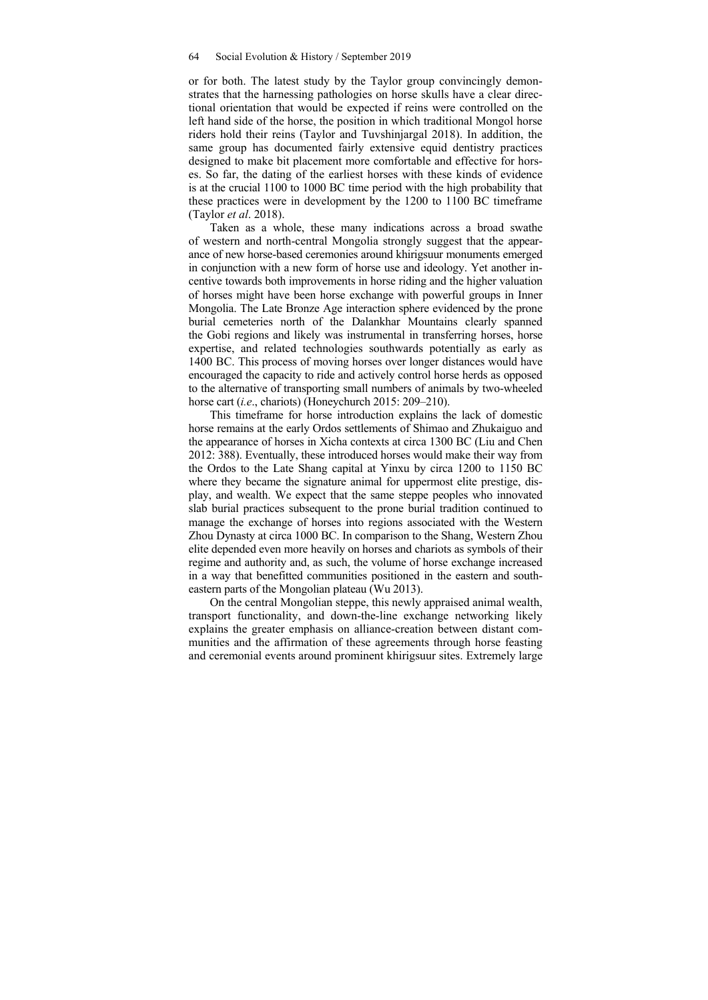or for both. The latest study by the Taylor group convincingly demonstrates that the harnessing pathologies on horse skulls have a clear directional orientation that would be expected if reins were controlled on the left hand side of the horse, the position in which traditional Mongol horse riders hold their reins (Taylor and Tuvshinjargal 2018). In addition, the same group has documented fairly extensive equid dentistry practices designed to make bit placement more comfortable and effective for horses. So far, the dating of the earliest horses with these kinds of evidence is at the crucial 1100 to 1000 BC time period with the high probability that these practices were in development by the 1200 to 1100 BC timeframe (Taylor *et al*. 2018).

Taken as a whole, these many indications across a broad swathe of western and north-central Mongolia strongly suggest that the appearance of new horse-based ceremonies around khirigsuur monuments emerged in conjunction with a new form of horse use and ideology. Yet another incentive towards both improvements in horse riding and the higher valuation of horses might have been horse exchange with powerful groups in Inner Mongolia. The Late Bronze Age interaction sphere evidenced by the prone burial cemeteries north of the Dalankhar Mountains clearly spanned the Gobi regions and likely was instrumental in transferring horses, horse expertise, and related technologies southwards potentially as early as 1400 BC. This process of moving horses over longer distances would have encouraged the capacity to ride and actively control horse herds as opposed to the alternative of transporting small numbers of animals by two-wheeled horse cart (*i.e*., chariots) (Honeychurch 2015: 209–210).

This timeframe for horse introduction explains the lack of domestic horse remains at the early Ordos settlements of Shimao and Zhukaiguo and the appearance of horses in Xicha contexts at circa 1300 BC (Liu and Chen 2012: 388). Eventually, these introduced horses would make their way from the Ordos to the Late Shang capital at Yinxu by circa 1200 to 1150 BC where they became the signature animal for uppermost elite prestige, display, and wealth. We expect that the same steppe peoples who innovated slab burial practices subsequent to the prone burial tradition continued to manage the exchange of horses into regions associated with the Western Zhou Dynasty at circa 1000 BC. In comparison to the Shang, Western Zhou elite depended even more heavily on horses and chariots as symbols of their regime and authority and, as such, the volume of horse exchange increased in a way that benefitted communities positioned in the eastern and southeastern parts of the Mongolian plateau (Wu 2013).

On the central Mongolian steppe, this newly appraised animal wealth, transport functionality, and down-the-line exchange networking likely explains the greater emphasis on alliance-creation between distant communities and the affirmation of these agreements through horse feasting and ceremonial events around prominent khirigsuur sites. Extremely large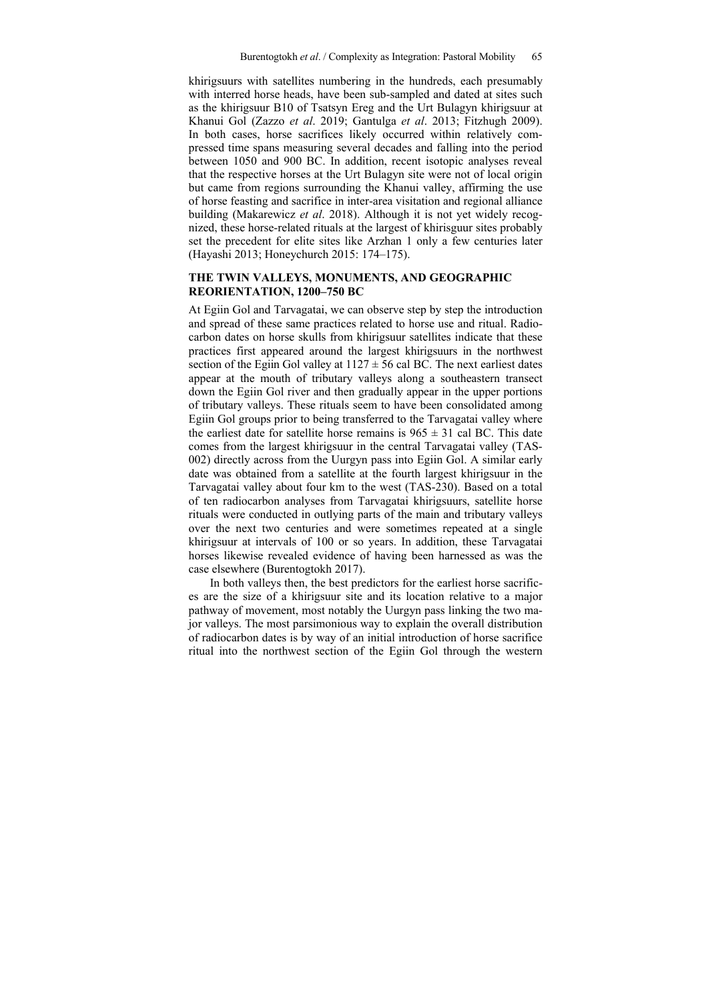khirigsuurs with satellites numbering in the hundreds, each presumably with interred horse heads, have been sub-sampled and dated at sites such as the khirigsuur B10 of Tsatsyn Ereg and the Urt Bulagyn khirigsuur at Khanui Gol (Zazzo *et al*. 2019; Gantulga *et al*. 2013; Fitzhugh 2009). In both cases, horse sacrifices likely occurred within relatively compressed time spans measuring several decades and falling into the period between 1050 and 900 BC. In addition, recent isotopic analyses reveal that the respective horses at the Urt Bulagyn site were not of local origin but came from regions surrounding the Khanui valley, affirming the use of horse feasting and sacrifice in inter-area visitation and regional alliance building (Makarewicz *et al*. 2018). Although it is not yet widely recognized, these horse-related rituals at the largest of khirisguur sites probably set the precedent for elite sites like Arzhan 1 only a few centuries later (Hayashi 2013; Honeychurch 2015: 174–175).

#### **THE TWIN VALLEYS, MONUMENTS, AND GEOGRAPHIC REORIENTATION, 1200–750 BC**

At Egiin Gol and Tarvagatai, we can observe step by step the introduction and spread of these same practices related to horse use and ritual. Radiocarbon dates on horse skulls from khirigsuur satellites indicate that these practices first appeared around the largest khirigsuurs in the northwest section of the Egiin Gol valley at  $1127 \pm 56$  cal BC. The next earliest dates appear at the mouth of tributary valleys along a southeastern transect down the Egiin Gol river and then gradually appear in the upper portions of tributary valleys. These rituals seem to have been consolidated among Egiin Gol groups prior to being transferred to the Tarvagatai valley where the earliest date for satellite horse remains is  $965 \pm 31$  cal BC. This date comes from the largest khirigsuur in the central Tarvagatai valley (TAS-002) directly across from the Uurgyn pass into Egiin Gol. A similar early date was obtained from a satellite at the fourth largest khirigsuur in the Tarvagatai valley about four km to the west (TAS-230). Based on a total of ten radiocarbon analyses from Tarvagatai khirigsuurs, satellite horse rituals were conducted in outlying parts of the main and tributary valleys over the next two centuries and were sometimes repeated at a single khirigsuur at intervals of 100 or so years. In addition, these Tarvagatai horses likewise revealed evidence of having been harnessed as was the case elsewhere (Burentogtokh 2017).

In both valleys then, the best predictors for the earliest horse sacrifices are the size of a khirigsuur site and its location relative to a major pathway of movement, most notably the Uurgyn pass linking the two major valleys. The most parsimonious way to explain the overall distribution of radiocarbon dates is by way of an initial introduction of horse sacrifice ritual into the northwest section of the Egiin Gol through the western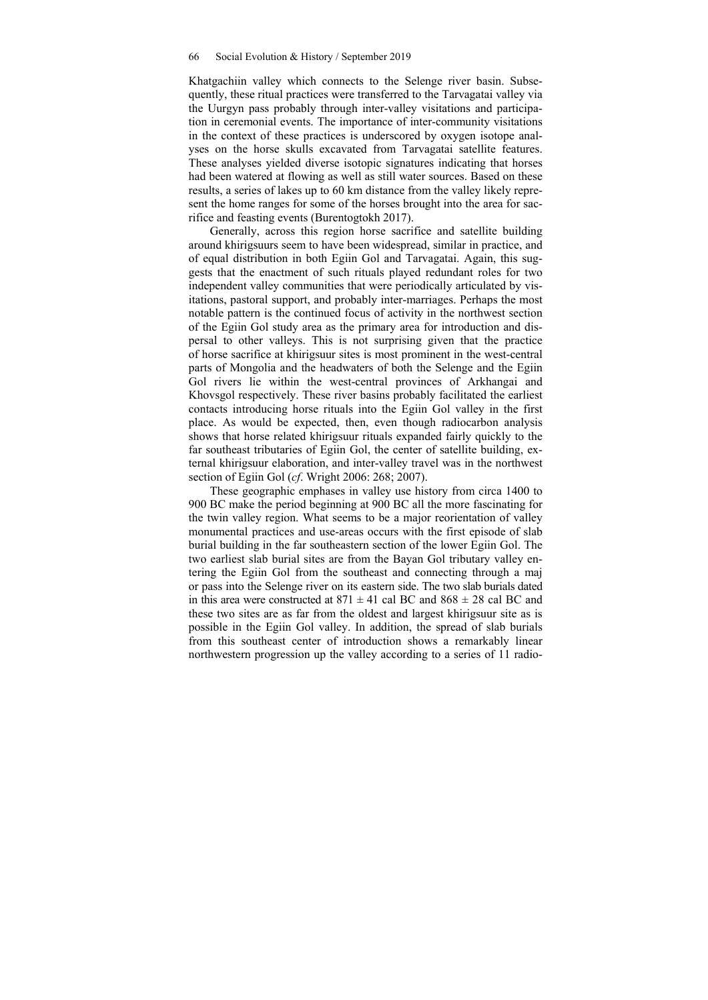Khatgachiin valley which connects to the Selenge river basin. Subsequently, these ritual practices were transferred to the Tarvagatai valley via the Uurgyn pass probably through inter-valley visitations and participation in ceremonial events. The importance of inter-community visitations in the context of these practices is underscored by oxygen isotope analyses on the horse skulls excavated from Tarvagatai satellite features. These analyses yielded diverse isotopic signatures indicating that horses had been watered at flowing as well as still water sources. Based on these results, a series of lakes up to 60 km distance from the valley likely represent the home ranges for some of the horses brought into the area for sacrifice and feasting events (Burentogtokh 2017).

Generally, across this region horse sacrifice and satellite building around khirigsuurs seem to have been widespread, similar in practice, and of equal distribution in both Egiin Gol and Tarvagatai. Again, this suggests that the enactment of such rituals played redundant roles for two independent valley communities that were periodically articulated by visitations, pastoral support, and probably inter-marriages. Perhaps the most notable pattern is the continued focus of activity in the northwest section of the Egiin Gol study area as the primary area for introduction and dispersal to other valleys. This is not surprising given that the practice of horse sacrifice at khirigsuur sites is most prominent in the west-central parts of Mongolia and the headwaters of both the Selenge and the Egiin Gol rivers lie within the west-central provinces of Arkhangai and Khovsgol respectively. These river basins probably facilitated the earliest contacts introducing horse rituals into the Egiin Gol valley in the first place. As would be expected, then, even though radiocarbon analysis shows that horse related khirigsuur rituals expanded fairly quickly to the far southeast tributaries of Egiin Gol, the center of satellite building, external khirigsuur elaboration, and inter-valley travel was in the northwest section of Egiin Gol (*cf*. Wright 2006: 268; 2007).

These geographic emphases in valley use history from circa 1400 to 900 BC make the period beginning at 900 BC all the more fascinating for the twin valley region. What seems to be a major reorientation of valley monumental practices and use-areas occurs with the first episode of slab burial building in the far southeastern section of the lower Egiin Gol. The two earliest slab burial sites are from the Bayan Gol tributary valley entering the Egiin Gol from the southeast and connecting through a maj or pass into the Selenge river on its eastern side. The two slab burials dated in this area were constructed at  $871 \pm 41$  cal BC and  $868 \pm 28$  cal BC and these two sites are as far from the oldest and largest khirigsuur site as is possible in the Egiin Gol valley. In addition, the spread of slab burials from this southeast center of introduction shows a remarkably linear northwestern progression up the valley according to a series of 11 radio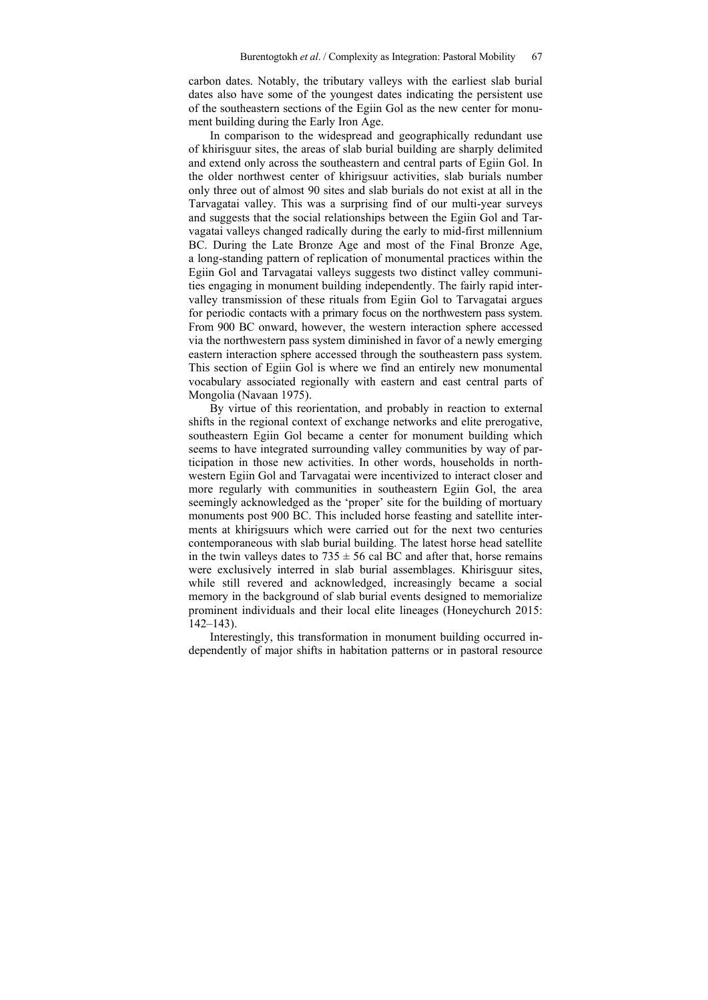carbon dates. Notably, the tributary valleys with the earliest slab burial dates also have some of the youngest dates indicating the persistent use of the southeastern sections of the Egiin Gol as the new center for monument building during the Early Iron Age.

In comparison to the widespread and geographically redundant use of khirisguur sites, the areas of slab burial building are sharply delimited and extend only across the southeastern and central parts of Egiin Gol. In the older northwest center of khirigsuur activities, slab burials number only three out of almost 90 sites and slab burials do not exist at all in the Tarvagatai valley. This was a surprising find of our multi-year surveys and suggests that the social relationships between the Egiin Gol and Tarvagatai valleys changed radically during the early to mid-first millennium BC. During the Late Bronze Age and most of the Final Bronze Age, a long-standing pattern of replication of monumental practices within the Egiin Gol and Tarvagatai valleys suggests two distinct valley communities engaging in monument building independently. The fairly rapid intervalley transmission of these rituals from Egiin Gol to Tarvagatai argues for periodic contacts with a primary focus on the northwestern pass system. From 900 BC onward, however, the western interaction sphere accessed via the northwestern pass system diminished in favor of a newly emerging eastern interaction sphere accessed through the southeastern pass system. This section of Egiin Gol is where we find an entirely new monumental vocabulary associated regionally with eastern and east central parts of Mongolia (Navaan 1975).

By virtue of this reorientation, and probably in reaction to external shifts in the regional context of exchange networks and elite prerogative, southeastern Egiin Gol became a center for monument building which seems to have integrated surrounding valley communities by way of participation in those new activities. In other words, households in northwestern Egiin Gol and Tarvagatai were incentivized to interact closer and more regularly with communities in southeastern Egiin Gol, the area seemingly acknowledged as the 'proper' site for the building of mortuary monuments post 900 BC. This included horse feasting and satellite interments at khirigsuurs which were carried out for the next two centuries contemporaneous with slab burial building. The latest horse head satellite in the twin valleys dates to  $735 \pm 56$  cal BC and after that, horse remains were exclusively interred in slab burial assemblages. Khirisguur sites, while still revered and acknowledged, increasingly became a social memory in the background of slab burial events designed to memorialize prominent individuals and their local elite lineages (Honeychurch 2015: 142–143).

Interestingly, this transformation in monument building occurred independently of major shifts in habitation patterns or in pastoral resource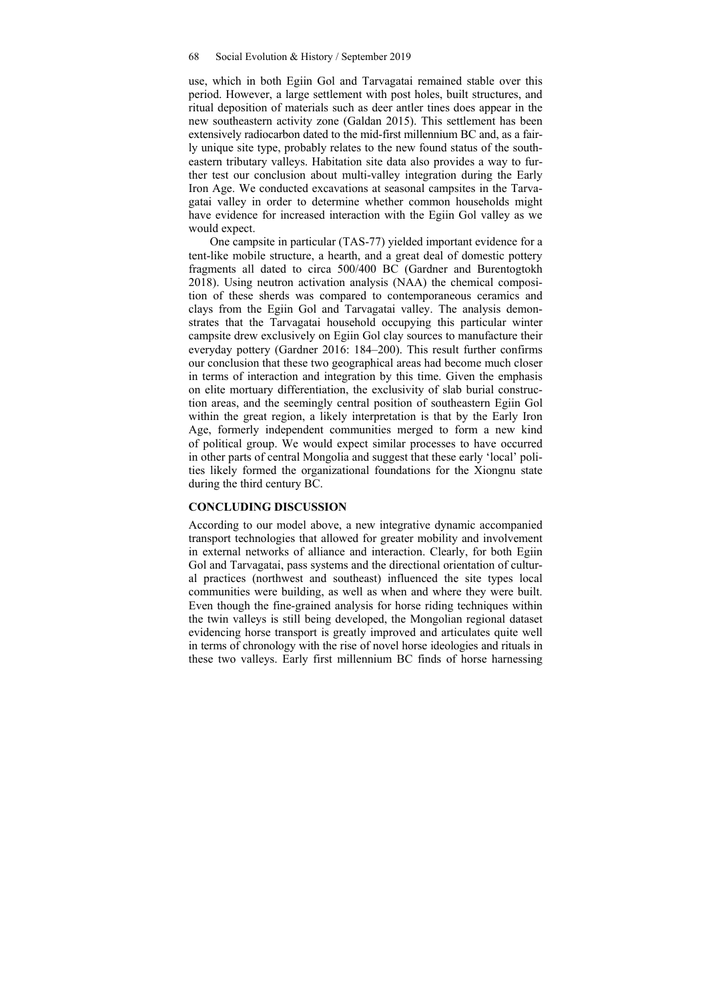use, which in both Egiin Gol and Tarvagatai remained stable over this period. However, a large settlement with post holes, built structures, and ritual deposition of materials such as deer antler tines does appear in the new southeastern activity zone (Galdan 2015). This settlement has been extensively radiocarbon dated to the mid-first millennium BC and, as a fairly unique site type, probably relates to the new found status of the southeastern tributary valleys. Habitation site data also provides a way to further test our conclusion about multi-valley integration during the Early Iron Age. We conducted excavations at seasonal campsites in the Tarvagatai valley in order to determine whether common households might have evidence for increased interaction with the Egiin Gol valley as we would expect.

One campsite in particular (TAS-77) yielded important evidence for a tent-like mobile structure, a hearth, and a great deal of domestic pottery fragments all dated to circa 500/400 BC (Gardner and Burentogtokh 2018). Using neutron activation analysis (NAA) the chemical composition of these sherds was compared to contemporaneous ceramics and clays from the Egiin Gol and Tarvagatai valley. The analysis demonstrates that the Tarvagatai household occupying this particular winter campsite drew exclusively on Egiin Gol clay sources to manufacture their everyday pottery (Gardner 2016: 184–200). This result further confirms our conclusion that these two geographical areas had become much closer in terms of interaction and integration by this time. Given the emphasis on elite mortuary differentiation, the exclusivity of slab burial construction areas, and the seemingly central position of southeastern Egiin Gol within the great region, a likely interpretation is that by the Early Iron Age, formerly independent communities merged to form a new kind of political group. We would expect similar processes to have occurred in other parts of central Mongolia and suggest that these early 'local' polities likely formed the organizational foundations for the Xiongnu state during the third century BC.

#### **CONCLUDING DISCUSSION**

According to our model above, a new integrative dynamic accompanied transport technologies that allowed for greater mobility and involvement in external networks of alliance and interaction. Clearly, for both Egiin Gol and Tarvagatai, pass systems and the directional orientation of cultural practices (northwest and southeast) influenced the site types local communities were building, as well as when and where they were built. Even though the fine-grained analysis for horse riding techniques within the twin valleys is still being developed, the Mongolian regional dataset evidencing horse transport is greatly improved and articulates quite well in terms of chronology with the rise of novel horse ideologies and rituals in these two valleys. Early first millennium BC finds of horse harnessing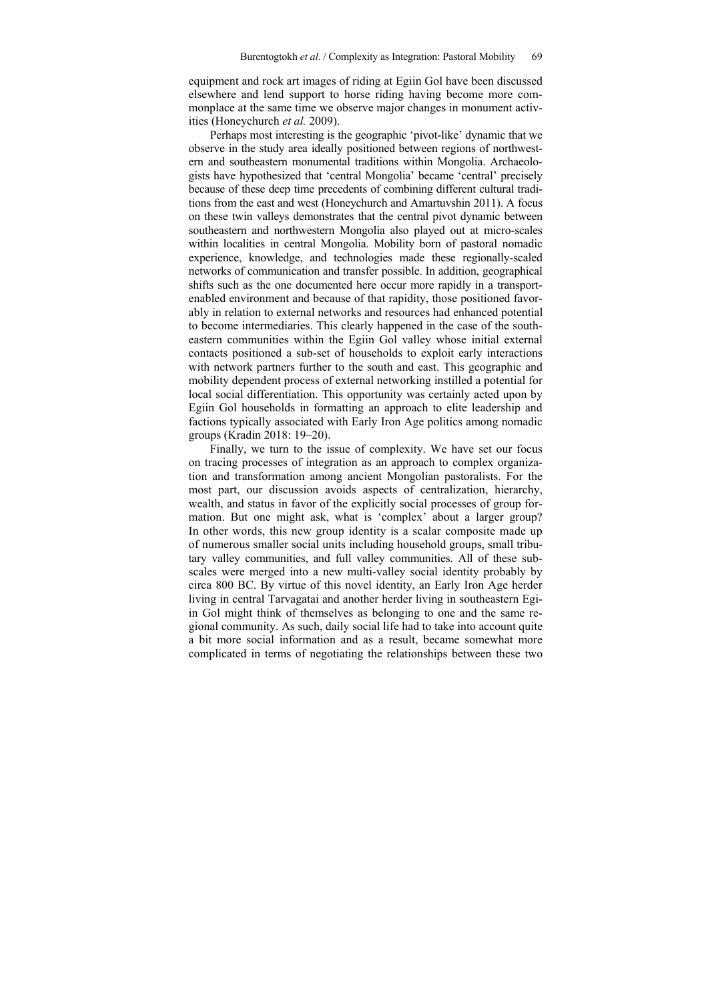equipment and rock art images of riding at Egiin Gol have been discussed elsewhere and lend support to horse riding having become more commonplace at the same time we observe major changes in monument activities (Honeychurch *et al.* 2009).

Perhaps most interesting is the geographic 'pivot-like' dynamic that we observe in the study area ideally positioned between regions of northwestern and southeastern monumental traditions within Mongolia. Archaeologists have hypothesized that 'central Mongolia' became 'central' precisely because of these deep time precedents of combining different cultural traditions from the east and west (Honeychurch and Amartuvshin 2011). A focus on these twin valleys demonstrates that the central pivot dynamic between southeastern and northwestern Mongolia also played out at micro-scales within localities in central Mongolia. Mobility born of pastoral nomadic experience, knowledge, and technologies made these regionally-scaled networks of communication and transfer possible. In addition, geographical shifts such as the one documented here occur more rapidly in a transportenabled environment and because of that rapidity, those positioned favorably in relation to external networks and resources had enhanced potential to become intermediaries. This clearly happened in the case of the southeastern communities within the Egiin Gol valley whose initial external contacts positioned a sub-set of households to exploit early interactions with network partners further to the south and east. This geographic and mobility dependent process of external networking instilled a potential for local social differentiation. This opportunity was certainly acted upon by Egiin Gol households in formatting an approach to elite leadership and factions typically associated with Early Iron Age politics among nomadic groups (Kradin 2018: 19–20).

Finally, we turn to the issue of complexity. We have set our focus on tracing processes of integration as an approach to complex organization and transformation among ancient Mongolian pastoralists. For the most part, our discussion avoids aspects of centralization, hierarchy, wealth, and status in favor of the explicitly social processes of group formation. But one might ask, what is 'complex' about a larger group? In other words, this new group identity is a scalar composite made up of numerous smaller social units including household groups, small tributary valley communities, and full valley communities. All of these subscales were merged into a new multi-valley social identity probably by circa 800 BC. By virtue of this novel identity, an Early Iron Age herder living in central Tarvagatai and another herder living in southeastern Egiin Gol might think of themselves as belonging to one and the same regional community. As such, daily social life had to take into account quite a bit more social information and as a result, became somewhat more complicated in terms of negotiating the relationships between these two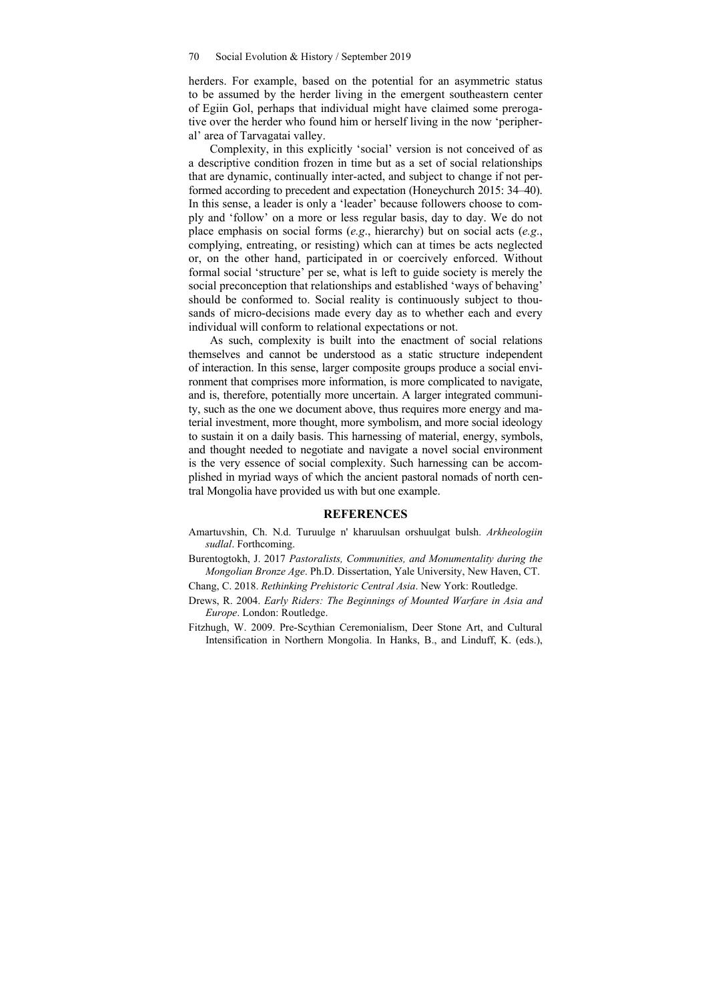herders. For example, based on the potential for an asymmetric status to be assumed by the herder living in the emergent southeastern center of Egiin Gol, perhaps that individual might have claimed some prerogative over the herder who found him or herself living in the now 'peripheral' area of Tarvagatai valley.

Complexity, in this explicitly 'social' version is not conceived of as a descriptive condition frozen in time but as a set of social relationships that are dynamic, continually inter-acted, and subject to change if not performed according to precedent and expectation (Honeychurch 2015: 34–40). In this sense, a leader is only a 'leader' because followers choose to comply and 'follow' on a more or less regular basis, day to day. We do not place emphasis on social forms (*e.g*., hierarchy) but on social acts (*e.g*., complying, entreating, or resisting) which can at times be acts neglected or, on the other hand, participated in or coercively enforced. Without formal social 'structure' per se, what is left to guide society is merely the social preconception that relationships and established 'ways of behaving' should be conformed to. Social reality is continuously subject to thousands of micro-decisions made every day as to whether each and every individual will conform to relational expectations or not.

As such, complexity is built into the enactment of social relations themselves and cannot be understood as a static structure independent of interaction. In this sense, larger composite groups produce a social environment that comprises more information, is more complicated to navigate, and is, therefore, potentially more uncertain. A larger integrated community, such as the one we document above, thus requires more energy and material investment, more thought, more symbolism, and more social ideology to sustain it on a daily basis. This harnessing of material, energy, symbols, and thought needed to negotiate and navigate a novel social environment is the very essence of social complexity. Such harnessing can be accomplished in myriad ways of which the ancient pastoral nomads of north central Mongolia have provided us with but one example.

#### **REFERENCES**

- Amartuvshin, Ch. N.d. Turuulge n' kharuulsan orshuulgat bulsh. *Arkheologiin sudlal*. Forthcoming.
- Burentogtokh, J. 2017 *Pastoralists, Communities, and Monumentality during the Mongolian Bronze Age*. Ph.D. Dissertation, Yale University, New Haven, CT.

Chang, C. 2018. *Rethinking Prehistoric Central Asia*. New York: Routledge.

- Drews, R. 2004. *Early Riders: The Beginnings of Mounted Warfare in Asia and Europe*. London: Routledge.
- Fitzhugh, W. 2009. Pre-Scythian Ceremonialism, Deer Stone Art, and Cultural Intensification in Northern Mongolia. In Hanks, B., and Linduff, K. (eds.),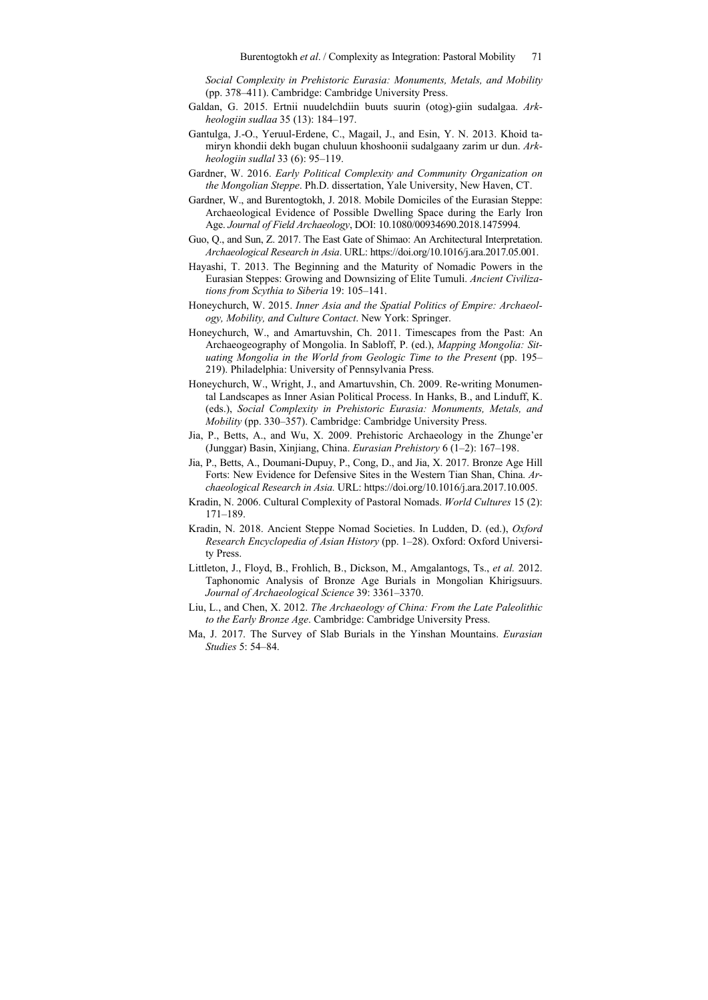*Social Complexity in Prehistoric Eurasia: Monuments, Metals, and Mobility* (pp. 378–411). Cambridge: Cambridge University Press.

- Galdan, G. 2015. Ertnii nuudelchdiin buuts suurin (otog)-giin sudalgaa. *Arkheologiin sudlaa* 35 (13): 184–197.
- Gantulga, J.-O., Yeruul-Erdene, C., Magail, J., and Esin, Y. N. 2013. Khoid tamiryn khondii dekh bugan chuluun khoshoonii sudalgaany zarim ur dun. *Arkheologiin sudlal* 33 (6): 95–119.
- Gardner, W. 2016. *Early Political Complexity and Community Organization on the Mongolian Steppe*. Ph.D. dissertation, Yale University, New Haven, CT.
- Gardner, W., and Burentogtokh, J. 2018. Mobile Domiciles of the Eurasian Steppe: Archaeological Evidence of Possible Dwelling Space during the Early Iron Age. *Journal of Field Archaeology*, DOI: 10.1080/00934690.2018.1475994.
- Guo, Q., and Sun, Z. 2017. The East Gate of Shimao: An Architectural Interpretation. *Archaeological Research in Asia*. URL: https://doi.org/10.1016/j.ara.2017.05.001.
- Hayashi, T. 2013. The Beginning and the Maturity of Nomadic Powers in the Eurasian Steppes: Growing and Downsizing of Elite Tumuli. *Ancient Civilizations from Scythia to Siberia* 19: 105–141.
- Honeychurch, W. 2015. *Inner Asia and the Spatial Politics of Empire: Archaeology, Mobility, and Culture Contact*. New York: Springer.
- Honeychurch, W., and Amartuvshin, Ch. 2011. Timescapes from the Past: An Archaeogeography of Mongolia. In Sabloff, P. (ed.), *Mapping Mongolia: Situating Mongolia in the World from Geologic Time to the Present* (pp. 195– 219). Philadelphia: University of Pennsylvania Press.
- Honeychurch, W., Wright, J., and Amartuvshin, Ch. 2009. Re-writing Monumental Landscapes as Inner Asian Political Process. In Hanks, B., and Linduff, K. (eds.), *Social Complexity in Prehistoric Eurasia: Monuments, Metals, and Mobility* (pp. 330–357). Cambridge: Cambridge University Press.
- Jia, P., Betts, A., and Wu, X. 2009. Prehistoric Archaeology in the Zhunge'er (Junggar) Basin, Xinjiang, China. *Eurasian Prehistory* 6 (1–2): 167–198.
- Jia, P., Betts, A., Doumani-Dupuy, P., Cong, D., and Jia, X. 2017. Bronze Age Hill Forts: New Evidence for Defensive Sites in the Western Tian Shan, China. *Archaeological Research in Asia.* URL: https://doi.org/10.1016/j.ara.2017.10.005.
- Kradin, N. 2006. Cultural Complexity of Pastoral Nomads. *World Cultures* 15 (2): 171–189.
- Kradin, N. 2018. Ancient Steppe Nomad Societies. In Ludden, D. (ed.), *Oxford Research Encyclopedia of Asian History* (pp. 1–28). Oxford: Oxford University Press.
- Littleton, J., Floyd, B., Frohlich, B., Dickson, M., Amgalantogs, Ts., *et al.* 2012. Taphonomic Analysis of Bronze Age Burials in Mongolian Khirigsuurs. *Journal of Archaeological Science* 39: 3361–3370.
- Liu, L., and Chen, X. 2012. *The Archaeology of China: From the Late Paleolithic to the Early Bronze Age*. Cambridge: Cambridge University Press.
- Ma, J. 2017. The Survey of Slab Burials in the Yinshan Mountains. *Eurasian Studies* 5: 54–84.